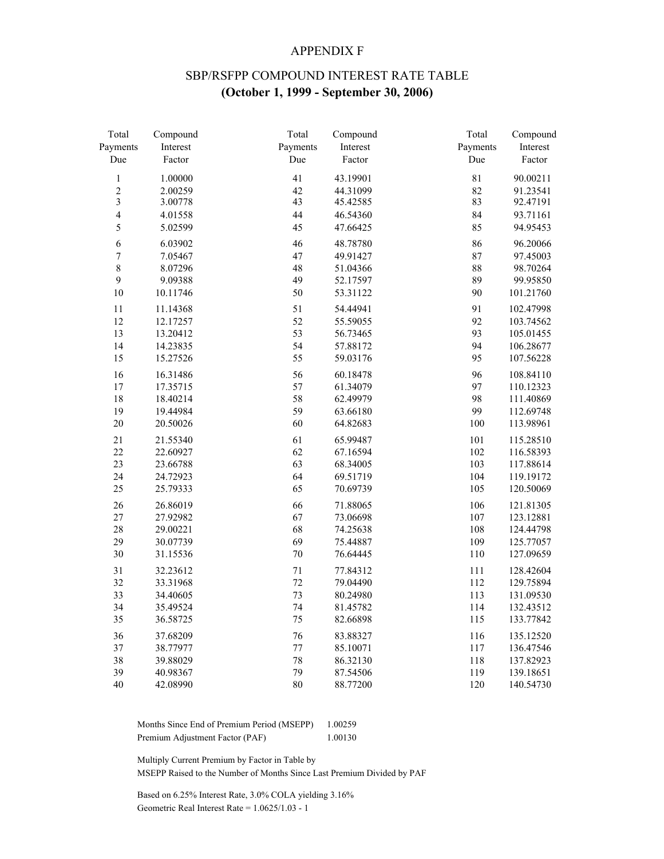#### APPENDIX F

# SBP/RSFPP COMPOUND INTEREST RATE TABLE **(October 1, 1999 - September 30, 2006)**

| Total          | Compound | Total    | Compound | Total    | Compound  |
|----------------|----------|----------|----------|----------|-----------|
| Payments       | Interest | Payments | Interest | Payments | Interest  |
| Due            | Factor   | Due      | Factor   | Due      | Factor    |
| $\,1$          | 1.00000  | 41       | 43.19901 | 81       | 90.00211  |
| $\overline{c}$ | 2.00259  | 42       | 44.31099 | 82       | 91.23541  |
| 3              | 3.00778  | 43       | 45.42585 | 83       | 92.47191  |
| $\overline{4}$ | 4.01558  | 44       | 46.54360 | 84       | 93.71161  |
| 5              | 5.02599  | 45       | 47.66425 | 85       | 94.95453  |
| 6              | 6.03902  | 46       | 48.78780 | 86       | 96.20066  |
| $\overline{7}$ | 7.05467  | 47       | 49.91427 | 87       | 97.45003  |
| 8              | 8.07296  | 48       | 51.04366 | 88       | 98.70264  |
| $\overline{9}$ | 9.09388  | 49       | 52.17597 | 89       | 99.95850  |
| 10             | 10.11746 | 50       | 53.31122 | 90       | 101.21760 |
| 11             | 11.14368 | 51       | 54.44941 | 91       | 102.47998 |
| 12             | 12.17257 | 52       | 55.59055 | 92       | 103.74562 |
| 13             | 13.20412 | 53       | 56.73465 | 93       | 105.01455 |
| 14             | 14.23835 | 54       | 57.88172 | 94       | 106.28677 |
| 15             | 15.27526 | 55       | 59.03176 | 95       | 107.56228 |
| 16             | 16.31486 | 56       | 60.18478 | 96       | 108.84110 |
| 17             | 17.35715 | 57       | 61.34079 | 97       | 110.12323 |
| 18             | 18.40214 | 58       | 62.49979 | 98       | 111.40869 |
| 19             | 19.44984 | 59       | 63.66180 | 99       | 112.69748 |
| 20             | 20.50026 | 60       | 64.82683 | 100      | 113.98961 |
| 21             | 21.55340 | 61       | 65.99487 | 101      | 115.28510 |
| 22             | 22.60927 | 62       | 67.16594 | 102      | 116.58393 |
| 23             | 23.66788 | 63       | 68.34005 | 103      | 117.88614 |
| 24             | 24.72923 | 64       | 69.51719 | 104      | 119.19172 |
| 25             | 25.79333 | 65       | 70.69739 | 105      | 120.50069 |
| 26             | 26.86019 | 66       | 71.88065 | 106      | 121.81305 |
| 27             | 27.92982 | 67       | 73.06698 | 107      | 123.12881 |
| 28             | 29.00221 | 68       | 74.25638 | 108      | 124.44798 |
| 29             | 30.07739 | 69       | 75.44887 | 109      | 125.77057 |
| 30             | 31.15536 | $70\,$   | 76.64445 | 110      | 127.09659 |
| 31             | 32.23612 | $71\,$   | 77.84312 | 111      | 128.42604 |
| 32             | 33.31968 | 72       | 79.04490 | 112      | 129.75894 |
| 33             | 34.40605 | 73       | 80.24980 | 113      | 131.09530 |
| 34             | 35.49524 | 74       | 81.45782 | 114      | 132.43512 |
| 35             | 36.58725 | 75       | 82.66898 | 115      | 133.77842 |
| 36             | 37.68209 | 76       | 83.88327 | 116      | 135.12520 |
| 37             | 38.77977 | $77\,$   | 85.10071 | 117      | 136.47546 |
| 38             | 39.88029 | 78       | 86.32130 | 118      | 137.82923 |
| 39             | 40.98367 | 79       | 87.54506 | 119      | 139.18651 |
| 40             | 42.08990 | 80       | 88.77200 | 120      | 140.54730 |

 Months Since End of Premium Period (MSEPP) 1.00259 Premium Adjustment Factor (PAF) 1.00130

Multiply Current Premium by Factor in Table by

MSEPP Raised to the Number of Months Since Last Premium Divided by PAF

 Based on 6.25% Interest Rate, 3.0% COLA yielding 3.16% Geometric Real Interest Rate = 1.0625/1.03 - 1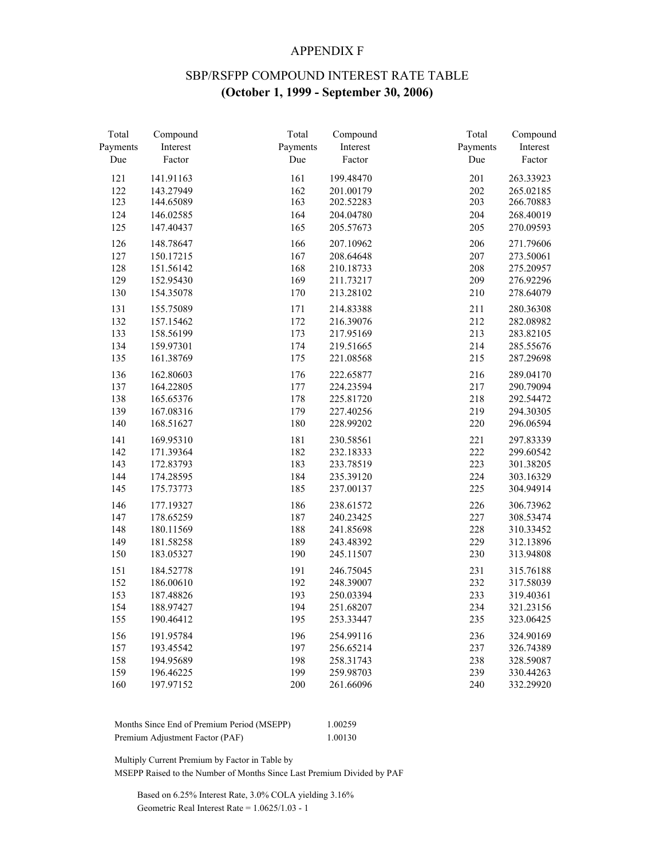#### APPENDIX F

# SBP/RSFPP COMPOUND INTEREST RATE TABLE **(October 1, 1999 - September 30, 2006)**

| Total    | Compound  | Total    | Compound  | Total    | Compound  |
|----------|-----------|----------|-----------|----------|-----------|
| Payments | Interest  | Payments | Interest  | Payments | Interest  |
| Due      | Factor    | Due      | Factor    | Due      | Factor    |
| 121      | 141.91163 | 161      | 199.48470 | 201      | 263.33923 |
| 122      | 143.27949 | 162      | 201.00179 | 202      | 265.02185 |
| 123      | 144.65089 | 163      | 202.52283 | 203      | 266.70883 |
| 124      | 146.02585 | 164      | 204.04780 | 204      | 268.40019 |
| 125      | 147.40437 | 165      | 205.57673 | 205      | 270.09593 |
| 126      | 148.78647 | 166      | 207.10962 | 206      | 271.79606 |
| 127      | 150.17215 | 167      | 208.64648 | 207      | 273.50061 |
| 128      | 151.56142 | 168      | 210.18733 | 208      | 275.20957 |
| 129      | 152.95430 | 169      | 211.73217 | 209      | 276.92296 |
| 130      | 154.35078 | 170      | 213.28102 | 210      | 278.64079 |
| 131      | 155.75089 | 171      | 214.83388 | 211      | 280.36308 |
| 132      | 157.15462 | 172      | 216.39076 | 212      | 282.08982 |
| 133      | 158.56199 | 173      | 217.95169 | 213      | 283.82105 |
| 134      | 159.97301 | 174      | 219.51665 | 214      | 285.55676 |
| 135      | 161.38769 | 175      | 221.08568 | 215      | 287.29698 |
| 136      | 162.80603 | 176      | 222.65877 | 216      | 289.04170 |
| 137      | 164.22805 | 177      | 224.23594 | 217      | 290.79094 |
| 138      | 165.65376 | 178      | 225.81720 | 218      | 292.54472 |
| 139      | 167.08316 | 179      | 227.40256 | 219      | 294.30305 |
| 140      | 168.51627 | 180      | 228.99202 | 220      | 296.06594 |
| 141      | 169.95310 | 181      | 230.58561 | 221      | 297.83339 |
| 142      | 171.39364 | 182      | 232.18333 | 222      | 299.60542 |
| 143      | 172.83793 | 183      | 233.78519 | 223      | 301.38205 |
| 144      | 174.28595 | 184      | 235.39120 | 224      | 303.16329 |
| 145      | 175.73773 | 185      | 237.00137 | 225      | 304.94914 |
| 146      | 177.19327 | 186      | 238.61572 | 226      | 306.73962 |
| 147      | 178.65259 | 187      | 240.23425 | 227      | 308.53474 |
| 148      | 180.11569 | 188      | 241.85698 | 228      | 310.33452 |
| 149      | 181.58258 | 189      | 243.48392 | 229      | 312.13896 |
| 150      | 183.05327 | 190      | 245.11507 | 230      | 313.94808 |
| 151      | 184.52778 | 191      | 246.75045 | 231      | 315.76188 |
| 152      | 186.00610 | 192      | 248.39007 | 232      | 317.58039 |
| 153      | 187.48826 | 193      | 250.03394 | 233      | 319.40361 |
| 154      | 188.97427 | 194      | 251.68207 | 234      | 321.23156 |
| 155      | 190.46412 | 195      | 253.33447 | 235      | 323.06425 |
| 156      | 191.95784 | 196      | 254.99116 | 236      | 324.90169 |
| 157      | 193.45542 | 197      | 256.65214 | 237      | 326.74389 |
| 158      | 194.95689 | 198      | 258.31743 | 238      | 328.59087 |
| 159      | 196.46225 | 199      | 259.98703 | 239      | 330.44263 |
| 160      | 197.97152 | 200      | 261.66096 | 240      | 332.29920 |

| Months Since End of Premium Period (MSEPP) | 1.00259 |
|--------------------------------------------|---------|
| Premium Adjustment Factor (PAF)            | 1.00130 |

Multiply Current Premium by Factor in Table by

MSEPP Raised to the Number of Months Since Last Premium Divided by PAF

 Based on 6.25% Interest Rate, 3.0% COLA yielding 3.16% Geometric Real Interest Rate = 1.0625/1.03 - 1